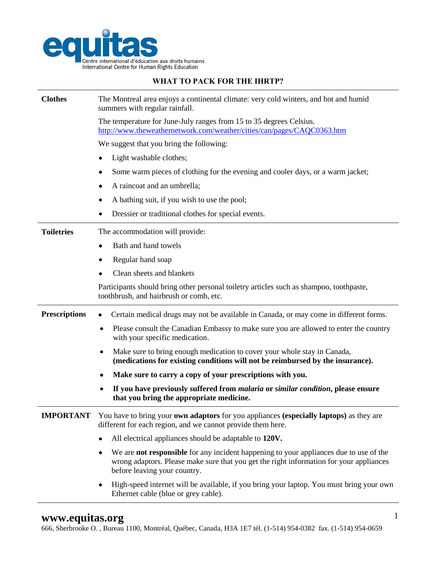

## **WHAT TO PACK FOR THE IHRTP?**

| <b>Clothes</b>       | The Montreal area enjoys a continental climate: very cold winters, and hot and humid<br>summers with regular rainfall.                                                                                                        |
|----------------------|-------------------------------------------------------------------------------------------------------------------------------------------------------------------------------------------------------------------------------|
|                      | The temperature for June-July ranges from 15 to 35 degrees Celsius.<br>http://www.theweathernetwork.com/weather/cities/can/pages/CAQC0363.htm                                                                                 |
|                      | We suggest that you bring the following:                                                                                                                                                                                      |
|                      | Light washable clothes;                                                                                                                                                                                                       |
|                      | Some warm pieces of clothing for the evening and cooler days, or a warm jacket;                                                                                                                                               |
|                      | A raincoat and an umbrella;                                                                                                                                                                                                   |
|                      | A bathing suit, if you wish to use the pool;                                                                                                                                                                                  |
|                      | Dressier or traditional clothes for special events.                                                                                                                                                                           |
| <b>Toiletries</b>    | The accommodation will provide:                                                                                                                                                                                               |
|                      | Bath and hand towels                                                                                                                                                                                                          |
|                      | Regular hand soap                                                                                                                                                                                                             |
|                      | Clean sheets and blankets                                                                                                                                                                                                     |
|                      | Participants should bring other personal toiletry articles such as shampoo, toothpaste,<br>toothbrush, and hairbrush or comb, etc.                                                                                            |
| <b>Prescriptions</b> | Certain medical drugs may not be available in Canada, or may come in different forms.                                                                                                                                         |
|                      | Please consult the Canadian Embassy to make sure you are allowed to enter the country<br>with your specific medication.                                                                                                       |
|                      | Make sure to bring enough medication to cover your whole stay in Canada,<br>٠<br>(medications for existing conditions will not be reimbursed by the insurance).                                                               |
|                      | Make sure to carry a copy of your prescriptions with you.<br>٠                                                                                                                                                                |
|                      | If you have previously suffered from <i>malaria</i> or <i>similar condition</i> , please ensure<br>that you bring the appropriate medicine.                                                                                   |
| <b>IMPORTANT</b>     | You have to bring your own adaptors for you appliances (especially laptops) as they are<br>different for each region, and we cannot provide them here.                                                                        |
|                      | All electrical appliances should be adaptable to 120V.                                                                                                                                                                        |
|                      | We are <b>not responsible</b> for any incident happening to your appliances due to use of the<br>٠<br>wrong adaptors. Please make sure that you get the right information for your appliances<br>before leaving your country. |
|                      | High-speed internet will be available, if you bring your laptop. You must bring your own<br>$\bullet$<br>Ethernet cable (blue or grey cable).                                                                                 |

666, Sherbrooke O. , Bureau 1100, Montréal, Québec, Canada, H3A 1E7 tél. (1-514) 954-0382 fax. (1-514) 954-0659